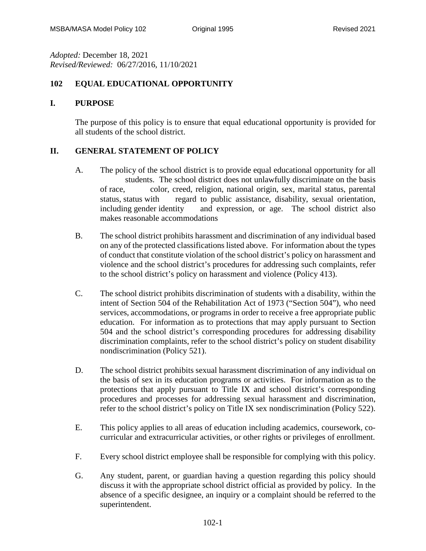*Adopted:* December 18, 2021 *Revised/Reviewed:* 06/27/2016, 11/10/2021

## **102 EQUAL EDUCATIONAL OPPORTUNITY**

## **I. PURPOSE**

The purpose of this policy is to ensure that equal educational opportunity is provided for all students of the school district.

## **II. GENERAL STATEMENT OF POLICY**

- A. The policy of the school district is to provide equal educational opportunity for all students. The school district does not unlawfully discriminate on the basis of race, color, creed, religion, national origin, sex, marital status, parental status, status with regard to public assistance, disability, sexual orientation, including gender identity and expression, or age. The school district also makes reasonable accommodations
- B. The school district prohibits harassment and discrimination of any individual based on any of the protected classifications listed above. For information about the types of conduct that constitute violation of the school district's policy on harassment and violence and the school district's procedures for addressing such complaints, refer to the school district's policy on harassment and violence (Policy 413).
- C. The school district prohibits discrimination of students with a disability, within the intent of Section 504 of the Rehabilitation Act of 1973 ("Section 504"), who need services, accommodations, or programs in order to receive a free appropriate public education. For information as to protections that may apply pursuant to Section 504 and the school district's corresponding procedures for addressing disability discrimination complaints, refer to the school district's policy on student disability nondiscrimination (Policy 521).
- D. The school district prohibits sexual harassment discrimination of any individual on the basis of sex in its education programs or activities. For information as to the protections that apply pursuant to Title IX and school district's corresponding procedures and processes for addressing sexual harassment and discrimination, refer to the school district's policy on Title IX sex nondiscrimination (Policy 522).
- E. This policy applies to all areas of education including academics, coursework, cocurricular and extracurricular activities, or other rights or privileges of enrollment.
- F. Every school district employee shall be responsible for complying with this policy.
- G. Any student, parent, or guardian having a question regarding this policy should discuss it with the appropriate school district official as provided by policy. In the absence of a specific designee, an inquiry or a complaint should be referred to the superintendent.